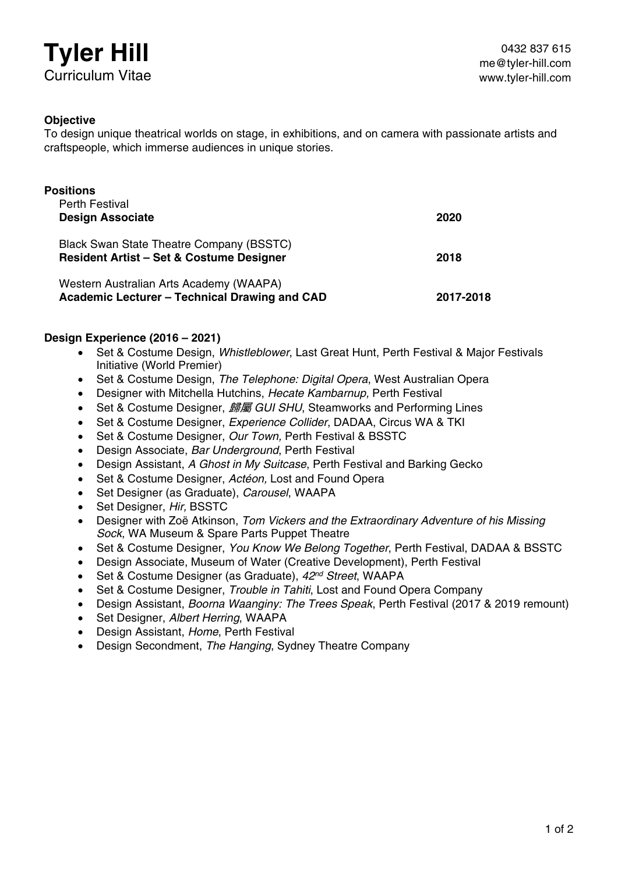# **Tyler Hill** Curriculum Vitae

# **Objective**

To design unique theatrical worlds on stage, in exhibitions, and on camera with passionate artists and craftspeople, which immerse audiences in unique stories.

| <b>Positions</b><br><b>Perth Festival</b>                                                              |           |  |
|--------------------------------------------------------------------------------------------------------|-----------|--|
| <b>Design Associate</b>                                                                                | 2020      |  |
| <b>Black Swan State Theatre Company (BSSTC)</b><br><b>Resident Artist - Set &amp; Costume Designer</b> | 2018      |  |
| Western Australian Arts Academy (WAAPA)<br>Academic Lecturer - Technical Drawing and CAD               | 2017-2018 |  |

# **Design Experience (2016 – 2021)**

- Set & Costume Design, *Whistleblower*, Last Great Hunt, Perth Festival & Major Festivals Initiative (World Premier)
- Set & Costume Design, *The Telephone: Digital Opera*, West Australian Opera
- Designer with Mitchella Hutchins, *Hecate Kambarnup,* Perth Festival
- Set & Costume Designer, 歸屬 *GUI SHU*, Steamworks and Performing Lines
- Set & Costume Designer, *Experience Collider*, DADAA, Circus WA & TKI
- Set & Costume Designer, *Our Town,* Perth Festival & BSSTC
- Design Associate, *Bar Underground*, Perth Festival
- Design Assistant, *A Ghost in My Suitcase*, Perth Festival and Barking Gecko
- Set & Costume Designer, *Actéon,* Lost and Found Opera
- Set Designer (as Graduate), *Carousel*, WAAPA
- Set Designer, *Hir,* BSSTC
- Designer with Zoë Atkinson, *Tom Vickers and the Extraordinary Adventure of his Missing Sock*, WA Museum & Spare Parts Puppet Theatre
- Set & Costume Designer, *You Know We Belong Together*, Perth Festival, DADAA & BSSTC
- Design Associate, Museum of Water (Creative Development), Perth Festival
- Set & Costume Designer (as Graduate), *42nd Street*, WAAPA
- Set & Costume Designer, *Trouble in Tahiti*, Lost and Found Opera Company
- Design Assistant, *Boorna Waanginy: The Trees Speak*, Perth Festival (2017 & 2019 remount)
- Set Designer, *Albert Herring*, WAAPA
- Design Assistant, *Home*, Perth Festival
- Design Secondment, *The Hanging*, Sydney Theatre Company